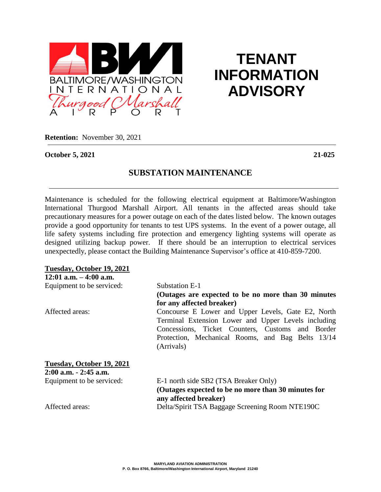

# **TENANT INFORMATION ADVISORY**

**Retention:** November 30, 2021

**October 5, 2021 21-025**

# **SUBSTATION MAINTENANCE**

Maintenance is scheduled for the following electrical equipment at Baltimore/Washington International Thurgood Marshall Airport. All tenants in the affected areas should take precautionary measures for a power outage on each of the dates listed below. The known outages provide a good opportunity for tenants to test UPS systems. In the event of a power outage, all life safety systems including fire protection and emergency lighting systems will operate as designed utilizing backup power. If there should be an interruption to electrical services unexpectedly, please contact the Building Maintenance Supervisor's office at 410-859-7200.

| Tuesday, October 19, 2021 |                                                      |
|---------------------------|------------------------------------------------------|
| $12:01$ a.m. $-4:00$ a.m. |                                                      |
| Equipment to be serviced: | Substation E-1                                       |
|                           | (Outages are expected to be no more than 30 minutes) |
|                           | for any affected breaker)                            |
| Affected areas:           | Concourse E Lower and Upper Levels, Gate E2, North   |
|                           | Terminal Extension Lower and Upper Levels including  |
|                           | Concessions, Ticket Counters, Customs and Border     |
|                           | Protection, Mechanical Rooms, and Bag Belts 13/14    |
|                           | (Arrivals)                                           |
| Tuesday, October 19, 2021 |                                                      |
| $2:00$ a.m. $-2:45$ a.m.  |                                                      |
| Equipment to be serviced: | E-1 north side SB2 (TSA Breaker Only)                |
|                           | (Outages expected to be no more than 30 minutes for  |
|                           | any affected breaker)                                |
| Affected areas:           | Delta/Spirit TSA Baggage Screening Room NTE190C      |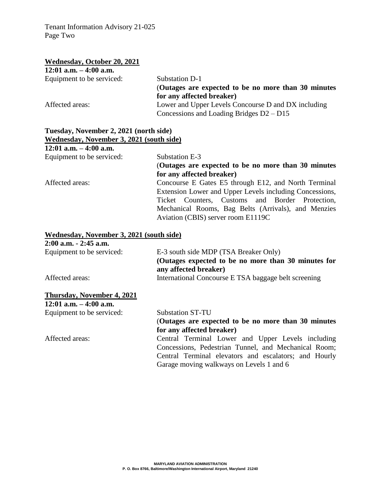Tenant Information Advisory 21-025 Page Two

### **Wednesday, October 20, 2021**

| $12:01$ a.m. $-4:00$ a.m. |                                                      |
|---------------------------|------------------------------------------------------|
| Equipment to be serviced: | Substation D-1                                       |
|                           | (Outages are expected to be no more than 30 minutes) |
|                           | for any affected breaker)                            |
| Affected areas:           | Lower and Upper Levels Concourse D and DX including  |
|                           | Concessions and Loading Bridges $D2 - D15$           |

# **Tuesday, November 2, 2021 (north side) Wednesday, November 3, 2021 (south side)**

**12:01 a.m. – 4:00 a.m.**

Equipment to be serviced: Substation E-3

# (**Outages are expected to be no more than 30 minutes for any affected breaker)**

Affected areas: Concourse E Gates E5 through E12, and North Terminal Extension Lower and Upper Levels including Concessions, Ticket Counters, Customs and Border Protection, Mechanical Rooms, Bag Belts (Arrivals), and Menzies Aviation (CBIS) server room E1119C

## **Wednesday, November 3, 2021 (south side)**

| $2:00$ a.m. $-2:45$ a.m.  |                                                      |
|---------------------------|------------------------------------------------------|
| Equipment to be serviced: | E-3 south side MDP (TSA Breaker Only)                |
|                           | (Outages expected to be no more than 30 minutes for  |
|                           | any affected breaker)                                |
| Affected areas:           | International Concourse E TSA baggage belt screening |

## **Thursday, November 4, 2021**

**12:01 a.m. – 4:00 a.m.** Equipment to be serviced: Substation ST-TU (**Outages are expected to be no more than 30 minutes for any affected breaker)** Affected areas: Central Terminal Lower and Upper Levels including Concessions, Pedestrian Tunnel, and Mechanical Room; Central Terminal elevators and escalators; and Hourly Garage moving walkways on Levels 1 and 6